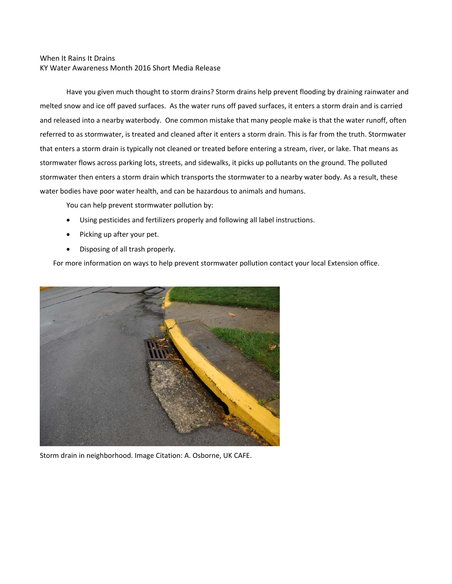## When It Rains It Drains KY Water Awareness Month 2016 Short Media Release

Have you given much thought to storm drains? Storm drains help prevent flooding by draining rainwater and melted snow and ice off paved surfaces. As the water runs off paved surfaces, it enters a storm drain and is carried and released into a nearby waterbody. One common mistake that many people make is that the water runoff, often referred to as stormwater, is treated and cleaned after it enters a storm drain. This is far from the truth. Stormwater that enters a storm drain is typically not cleaned or treated before entering a stream, river, or lake. That means as stormwater flows across parking lots, streets, and sidewalks, it picks up pollutants on the ground. The polluted stormwater then enters a storm drain which transports the stormwater to a nearby water body. As a result, these water bodies have poor water health, and can be hazardous to animals and humans.

You can help prevent stormwater pollution by:

- Using pesticides and fertilizers properly and following all label instructions.
- Picking up after your pet.
- Disposing of all trash properly.

For more information on ways to help prevent stormwater pollution contact your local Extension office.



Storm drain in neighborhood. Image Citation: A. Osborne, UK CAFE.